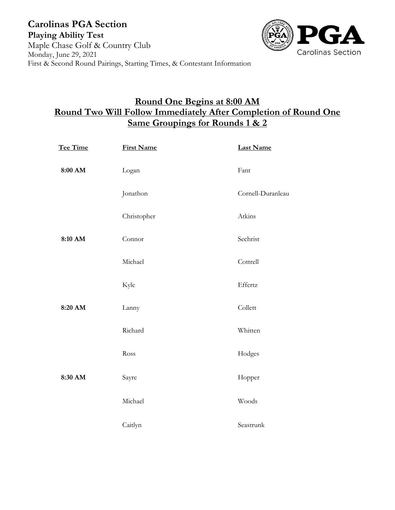

## **Round One Begins at 8:00 AM Round Two Will Follow Immediately After Completion of Round One Same Groupings for Rounds 1 & 2**

| Tee Time | <b>First Name</b> | <b>Last Name</b>  |
|----------|-------------------|-------------------|
| 8:00 AM  | Logan             | Fant              |
|          | Jonathon          | Cornell-Duranleau |
|          | Christopher       | Atkins            |
| 8:10 AM  | Connor            | Sechrist          |
|          | Michael           | Cottrell          |
|          | Kyle              | Effertz           |
| 8:20 AM  | Lanny             | Collett           |
|          | Richard           | Whitten           |
|          | Ross              | Hodges            |
| 8:30 AM  | Sayre             | Hopper            |
|          | Michael           | Woods             |
|          | Caitlyn           | Seastrunk         |